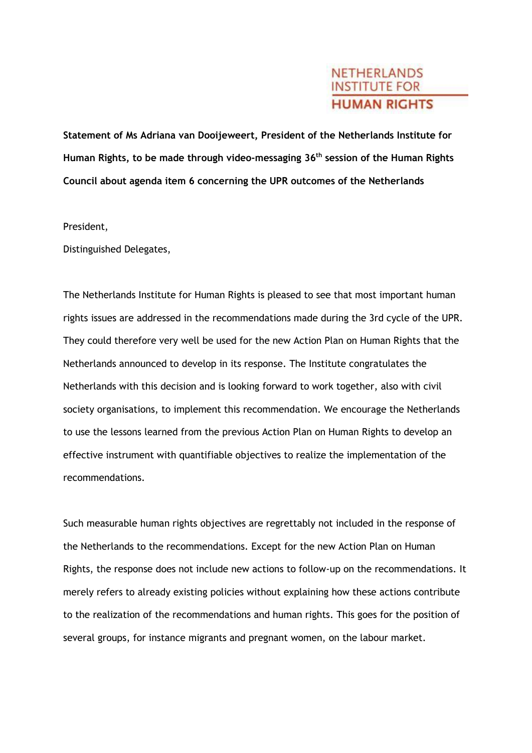## **NETHERLANDS INSTITUTE FOR HUMAN RIGHTS**

**Statement of Ms Adriana van Dooijeweert, President of the Netherlands Institute for Human Rights, to be made through video-messaging 36th session of the Human Rights Council about agenda item 6 concerning the UPR outcomes of the Netherlands**

President,

Distinguished Delegates,

The Netherlands Institute for Human Rights is pleased to see that most important human rights issues are addressed in the recommendations made during the 3rd cycle of the UPR. They could therefore very well be used for the new Action Plan on Human Rights that the Netherlands announced to develop in its response. The Institute congratulates the Netherlands with this decision and is looking forward to work together, also with civil society organisations, to implement this recommendation. We encourage the Netherlands to use the lessons learned from the previous Action Plan on Human Rights to develop an effective instrument with quantifiable objectives to realize the implementation of the recommendations.

Such measurable human rights objectives are regrettably not included in the response of the Netherlands to the recommendations. Except for the new Action Plan on Human Rights, the response does not include new actions to follow-up on the recommendations. It merely refers to already existing policies without explaining how these actions contribute to the realization of the recommendations and human rights. This goes for the position of several groups, for instance migrants and pregnant women, on the labour market.